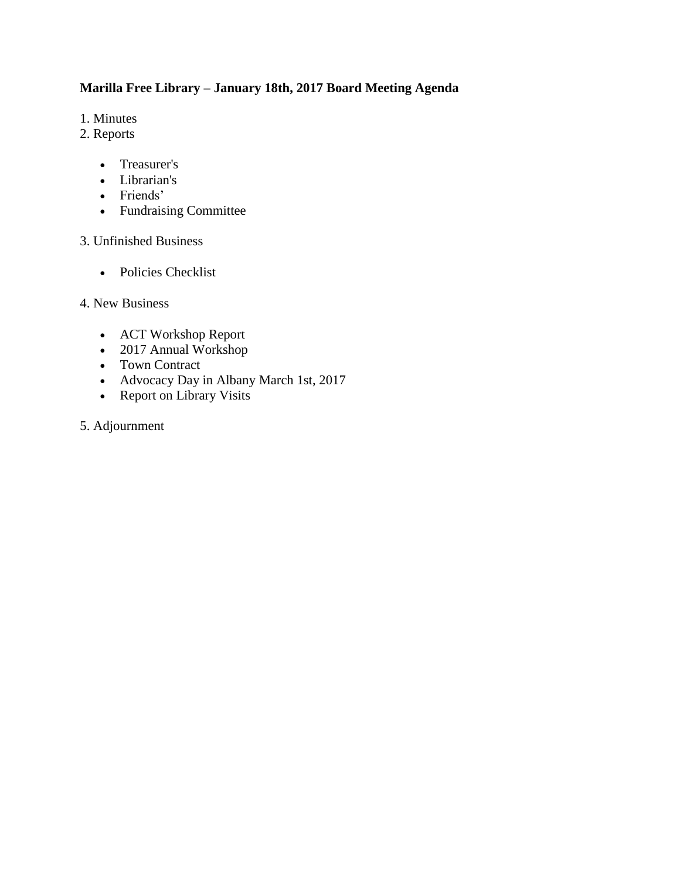## **Marilla Free Library – January 18th, 2017 Board Meeting Agenda**

- 1. Minutes
- 2. Reports
	- Treasurer's
	- Librarian's
	- Friends'
	- Fundraising Committee

#### 3. Unfinished Business

• Policies Checklist

#### 4. New Business

- ACT Workshop Report
- 2017 Annual Workshop
- Town Contract
- Advocacy Day in Albany March 1st, 2017
- Report on Library Visits

#### 5. Adjournment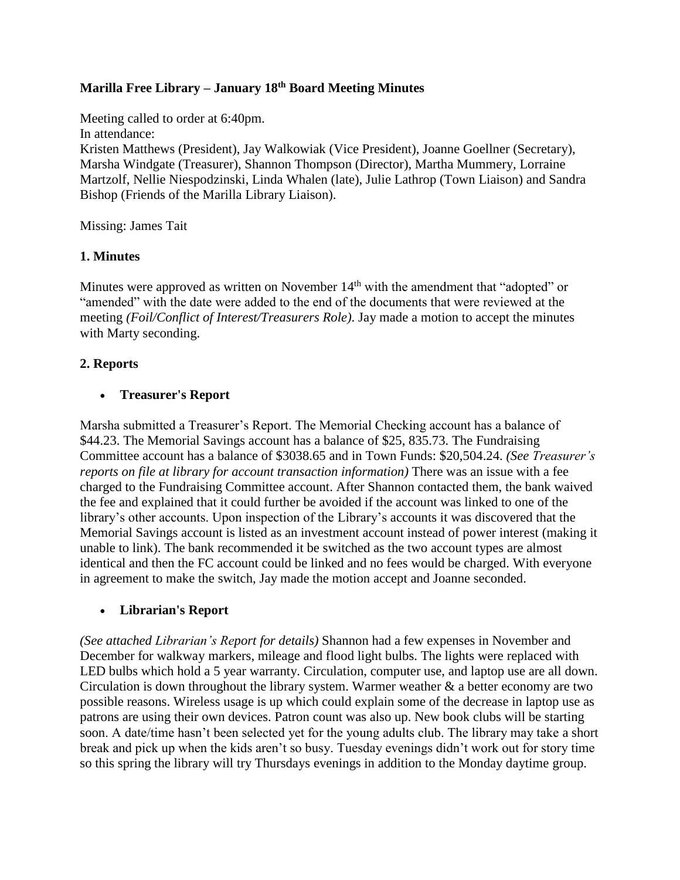## **Marilla Free Library – January 18th Board Meeting Minutes**

Meeting called to order at 6:40pm. In attendance: Kristen Matthews (President), Jay Walkowiak (Vice President), Joanne Goellner (Secretary), Marsha Windgate (Treasurer), Shannon Thompson (Director), Martha Mummery, Lorraine Martzolf, Nellie Niespodzinski, Linda Whalen (late), Julie Lathrop (Town Liaison) and Sandra Bishop (Friends of the Marilla Library Liaison).

Missing: James Tait

#### **1. Minutes**

Minutes were approved as written on November 14<sup>th</sup> with the amendment that "adopted" or "amended" with the date were added to the end of the documents that were reviewed at the meeting *(Foil/Conflict of Interest/Treasurers Role)*. Jay made a motion to accept the minutes with Marty seconding.

#### **2. Reports**

#### **Treasurer's Report**

Marsha submitted a Treasurer's Report. The Memorial Checking account has a balance of \$44.23. The Memorial Savings account has a balance of \$25, 835.73. The Fundraising Committee account has a balance of \$3038.65 and in Town Funds: \$20,504.24. *(See Treasurer's reports on file at library for account transaction information*) There was an issue with a fee charged to the Fundraising Committee account. After Shannon contacted them, the bank waived the fee and explained that it could further be avoided if the account was linked to one of the library's other accounts. Upon inspection of the Library's accounts it was discovered that the Memorial Savings account is listed as an investment account instead of power interest (making it unable to link). The bank recommended it be switched as the two account types are almost identical and then the FC account could be linked and no fees would be charged. With everyone in agreement to make the switch, Jay made the motion accept and Joanne seconded.

#### **Librarian's Report**

*(See attached Librarian's Report for details)* Shannon had a few expenses in November and December for walkway markers, mileage and flood light bulbs. The lights were replaced with LED bulbs which hold a 5 year warranty. Circulation, computer use, and laptop use are all down. Circulation is down throughout the library system. Warmer weather  $\&$  a better economy are two possible reasons. Wireless usage is up which could explain some of the decrease in laptop use as patrons are using their own devices. Patron count was also up. New book clubs will be starting soon. A date/time hasn't been selected yet for the young adults club. The library may take a short break and pick up when the kids aren't so busy. Tuesday evenings didn't work out for story time so this spring the library will try Thursdays evenings in addition to the Monday daytime group.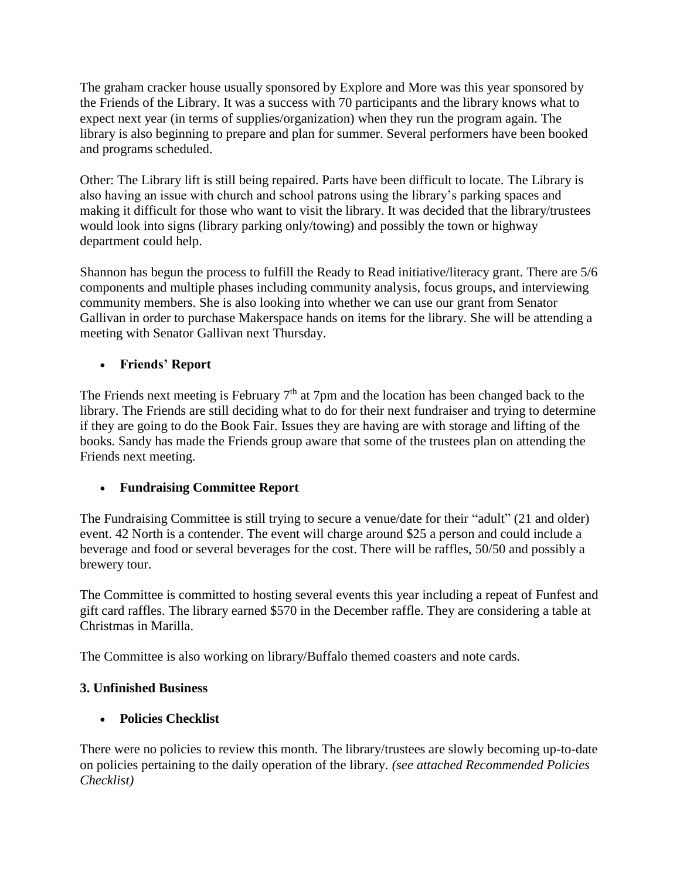The graham cracker house usually sponsored by Explore and More was this year sponsored by the Friends of the Library. It was a success with 70 participants and the library knows what to expect next year (in terms of supplies/organization) when they run the program again. The library is also beginning to prepare and plan for summer. Several performers have been booked and programs scheduled.

Other: The Library lift is still being repaired. Parts have been difficult to locate. The Library is also having an issue with church and school patrons using the library's parking spaces and making it difficult for those who want to visit the library. It was decided that the library/trustees would look into signs (library parking only/towing) and possibly the town or highway department could help.

Shannon has begun the process to fulfill the Ready to Read initiative/literacy grant. There are 5/6 components and multiple phases including community analysis, focus groups, and interviewing community members. She is also looking into whether we can use our grant from Senator Gallivan in order to purchase Makerspace hands on items for the library. She will be attending a meeting with Senator Gallivan next Thursday.

## **Friends' Report**

The Friends next meeting is February  $7<sup>th</sup>$  at 7pm and the location has been changed back to the library. The Friends are still deciding what to do for their next fundraiser and trying to determine if they are going to do the Book Fair. Issues they are having are with storage and lifting of the books. Sandy has made the Friends group aware that some of the trustees plan on attending the Friends next meeting.

## **Fundraising Committee Report**

The Fundraising Committee is still trying to secure a venue/date for their "adult" (21 and older) event. 42 North is a contender. The event will charge around \$25 a person and could include a beverage and food or several beverages for the cost. There will be raffles, 50/50 and possibly a brewery tour.

The Committee is committed to hosting several events this year including a repeat of Funfest and gift card raffles. The library earned \$570 in the December raffle. They are considering a table at Christmas in Marilla.

The Committee is also working on library/Buffalo themed coasters and note cards.

## **3. Unfinished Business**

## **Policies Checklist**

There were no policies to review this month. The library/trustees are slowly becoming up-to-date on policies pertaining to the daily operation of the library. *(see attached Recommended Policies Checklist)*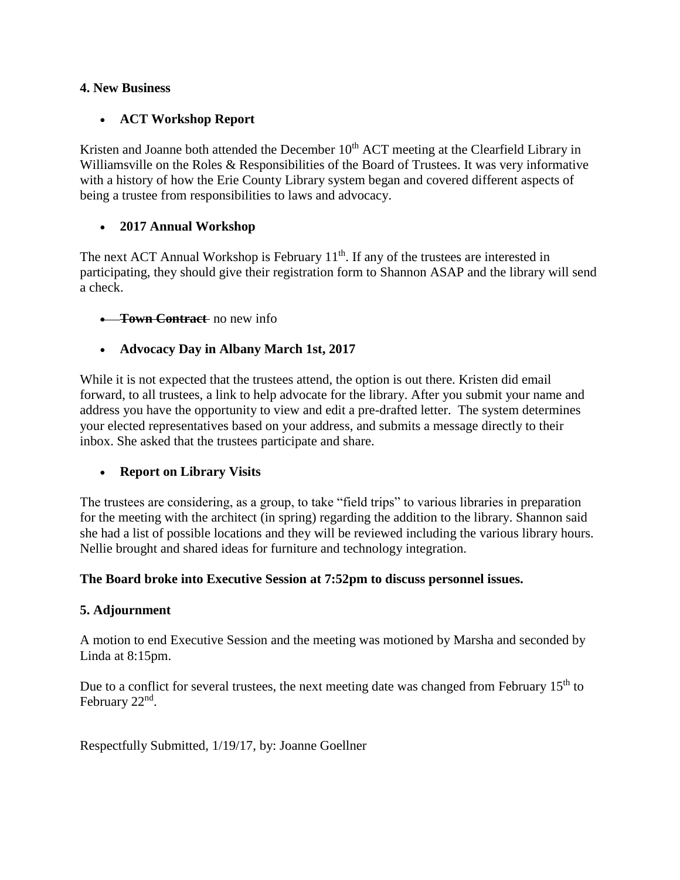#### **4. New Business**

#### **ACT Workshop Report**

Kristen and Joanne both attended the December  $10<sup>th</sup>$  ACT meeting at the Clearfield Library in Williamsville on the Roles & Responsibilities of the Board of Trustees. It was very informative with a history of how the Erie County Library system began and covered different aspects of being a trustee from responsibilities to laws and advocacy.

#### **2017 Annual Workshop**

The next ACT Annual Workshop is February  $11<sup>th</sup>$ . If any of the trustees are interested in participating, they should give their registration form to Shannon ASAP and the library will send a check.

#### **Town Contract** no new info

#### **Advocacy Day in Albany March 1st, 2017**

While it is not expected that the trustees attend, the option is out there. Kristen did email forward, to all trustees, a link to help advocate for the library. After you submit your name and address you have the opportunity to view and edit a pre-drafted letter. The system determines your elected representatives based on your address, and submits a message directly to their inbox. She asked that the trustees participate and share.

#### **Report on Library Visits**

The trustees are considering, as a group, to take "field trips" to various libraries in preparation for the meeting with the architect (in spring) regarding the addition to the library. Shannon said she had a list of possible locations and they will be reviewed including the various library hours. Nellie brought and shared ideas for furniture and technology integration.

#### **The Board broke into Executive Session at 7:52pm to discuss personnel issues.**

#### **5. Adjournment**

A motion to end Executive Session and the meeting was motioned by Marsha and seconded by Linda at 8:15pm.

Due to a conflict for several trustees, the next meeting date was changed from February 15<sup>th</sup> to February 22<sup>nd</sup>.

Respectfully Submitted, 1/19/17, by: Joanne Goellner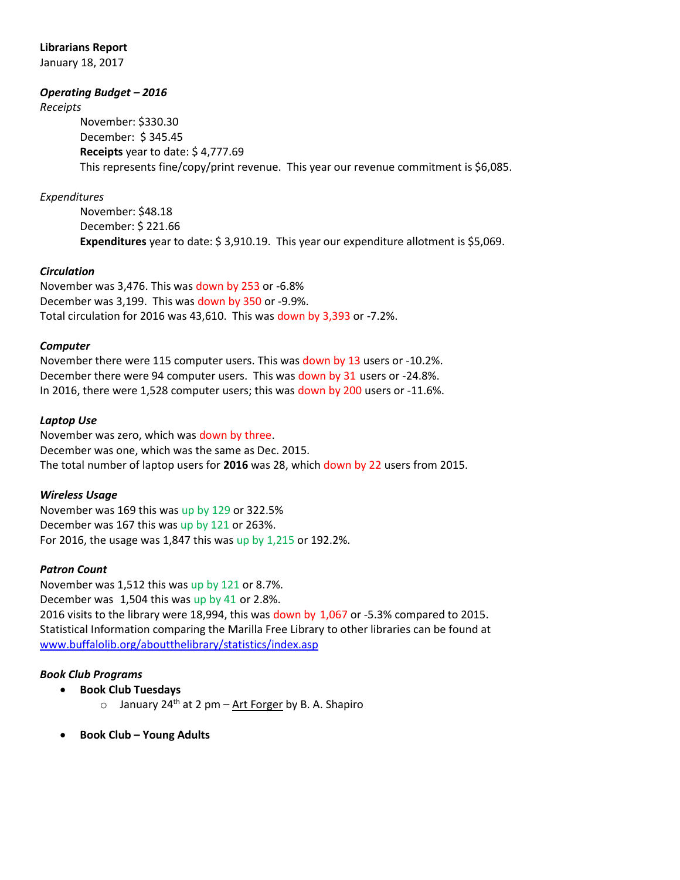#### **Librarians Report**

January 18, 2017

#### *Operating Budget – 2016*

*Receipts*

November: \$330.30 December: \$ 345.45 **Receipts** year to date: \$ 4,777.69 This represents fine/copy/print revenue. This year our revenue commitment is \$6,085.

#### *Expenditures*

November: \$48.18 December: \$ 221.66 **Expenditures** year to date: \$ 3,910.19. This year our expenditure allotment is \$5,069.

#### *Circulation*

November was 3,476. This was down by 253 or -6.8% December was 3,199. This was down by 350 or -9.9%. Total circulation for 2016 was 43,610. This was down by 3,393 or -7.2%.

#### *Computer*

November there were 115 computer users. This was down by 13 users or -10.2%. December there were 94 computer users. This was down by 31 users or -24.8%. In 2016, there were 1,528 computer users; this was down by 200 users or -11.6%.

#### *Laptop Use*

November was zero, which was down by three. December was one, which was the same as Dec. 2015. The total number of laptop users for **2016** was 28, which down by 22 users from 2015.

#### *Wireless Usage*

November was 169 this was up by 129 or 322.5% December was 167 this was up by 121 or 263%. For 2016, the usage was 1,847 this was up by 1,215 or 192.2%.

#### *Patron Count*

November was 1,512 this was up by 121 or 8.7%. December was 1,504 this was up by 41 or 2.8%. 2016 visits to the library were 18,994, this was down by 1,067 or -5.3% compared to 2015. Statistical Information comparing the Marilla Free Library to other libraries can be found at [www.buffalolib.org/aboutthelibrary/statistics/index.asp](http://www.buffalolib.org/aboutthelibrary/statistics/index.asp)

#### *Book Club Programs*

- **Book Club Tuesdays**
	- o January 24<sup>th</sup> at 2 pm Art Forger by B. A. Shapiro
- **Book Club – Young Adults**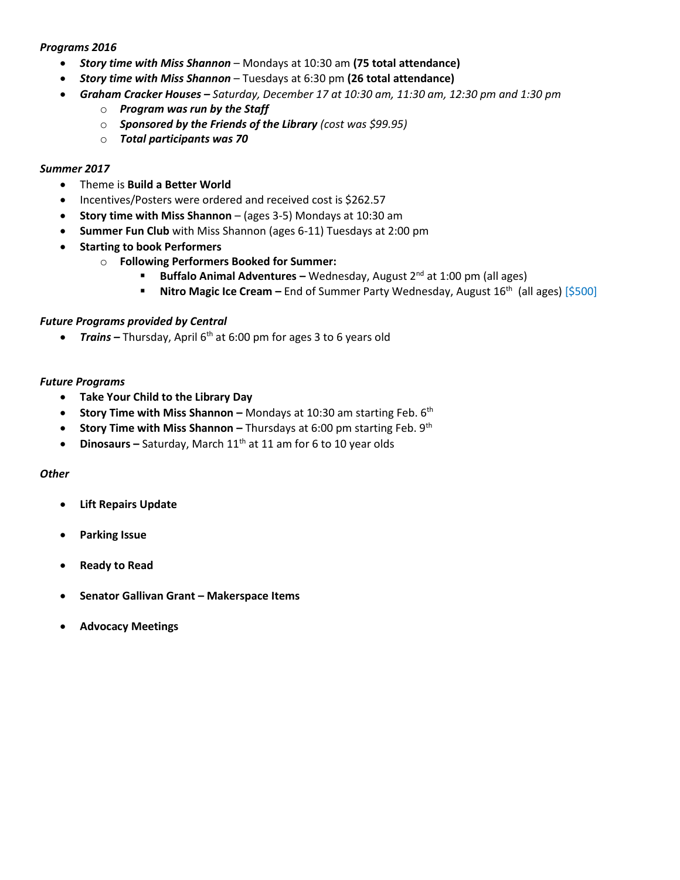#### *Programs 2016*

- *Story time with Miss Shannon* Mondays at 10:30 am **(75 total attendance)**
- *Story time with Miss Shannon*  Tuesdays at 6:30 pm **(26 total attendance)**
- *Graham Cracker Houses – Saturday, December 17 at 10:30 am, 11:30 am, 12:30 pm and 1:30 pm*
	- o *Program was run by the Staff*
	- o *Sponsored by the Friends of the Library (cost was \$99.95)*
	- o *Total participants was 70*

#### *Summer 2017*

- Theme is **Build a Better World**
- Incentives/Posters were ordered and received cost is \$262.57
- **Story time with Miss Shannon**  (ages 3-5) Mondays at 10:30 am
- **Summer Fun Club** with Miss Shannon (ages 6-11) Tuesdays at 2:00 pm
- **•** Starting to book Performers
	- o **Following Performers Booked for Summer:**
		- **Buffalo Animal Adventures –** Wednesday, August 2<sup>nd</sup> at 1:00 pm (all ages)
			- **Nitro Magic Ice Cream** End of Summer Party Wednesday, August 16<sup>th</sup> (all ages) [\$500]

#### *Future Programs provided by Central*

■ *Trains* – Thursday, April 6<sup>th</sup> at 6:00 pm for ages 3 to 6 years old

#### *Future Programs*

- **Take Your Child to the Library Day**
- **Story Time with Miss Shannon –** Mondays at 10:30 am starting Feb. 6<sup>th</sup>
- **Story Time with Miss Shannon -** Thursdays at 6:00 pm starting Feb. 9<sup>th</sup>
- Dinosaurs Saturday, March 11<sup>th</sup> at 11 am for 6 to 10 year olds

#### *Other*

- **Lift Repairs Update**
- **Parking Issue**
- **Ready to Read**
- **Senator Gallivan Grant – Makerspace Items**
- **Advocacy Meetings**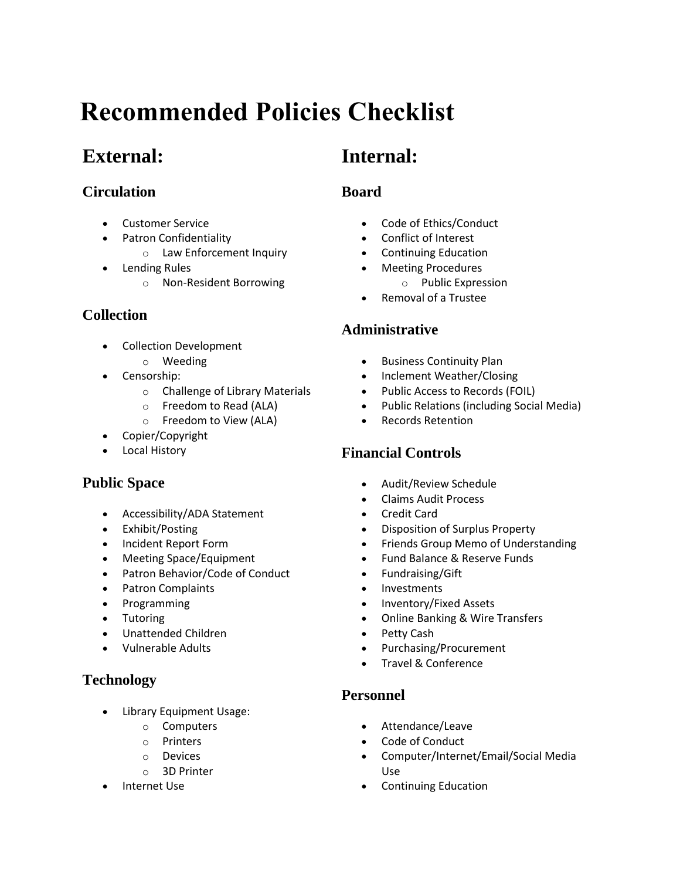# **Recommended Policies Checklist**

## **External:**

## **Circulation**

- Customer Service
- **•** Patron Confidentiality
	- o Law Enforcement Inquiry
- Lending Rules
	- o Non-Resident Borrowing

## **Collection**

- Collection Development
	- o Weeding
- Censorship:
	- o Challenge of Library Materials
	- o Freedom to Read (ALA)
	- o Freedom to View (ALA)
- Copier/Copyright
- Local History

## **Public Space**

- Accessibility/ADA Statement
- Exhibit/Posting
- Incident Report Form
- Meeting Space/Equipment
- Patron Behavior/Code of Conduct
- Patron Complaints
- Programming
- Tutoring
- Unattended Children
- Vulnerable Adults

## **Technology**

- Library Equipment Usage:
	- o Computers
	- o Printers
	- o Devices
	- o 3D Printer
- Internet Use

# **Internal:**

## **Board**

- Code of Ethics/Conduct
- Conflict of Interest
- Continuing Education
- Meeting Procedures
	- o Public Expression
- Removal of a Trustee

## **Administrative**

- **•** Business Continuity Plan
- Inclement Weather/Closing
- Public Access to Records (FOIL)
- Public Relations (including Social Media)
- Records Retention

## **Financial Controls**

- Audit/Review Schedule
- Claims Audit Process
- Credit Card
- Disposition of Surplus Property
- Friends Group Memo of Understanding
- Fund Balance & Reserve Funds
- Fundraising/Gift
- Investments
- Inventory/Fixed Assets
- Online Banking & Wire Transfers
- Petty Cash
- Purchasing/Procurement
- Travel & Conference

## **Personnel**

- Attendance/Leave
- Code of Conduct
- Computer/Internet/Email/Social Media Use
- Continuing Education